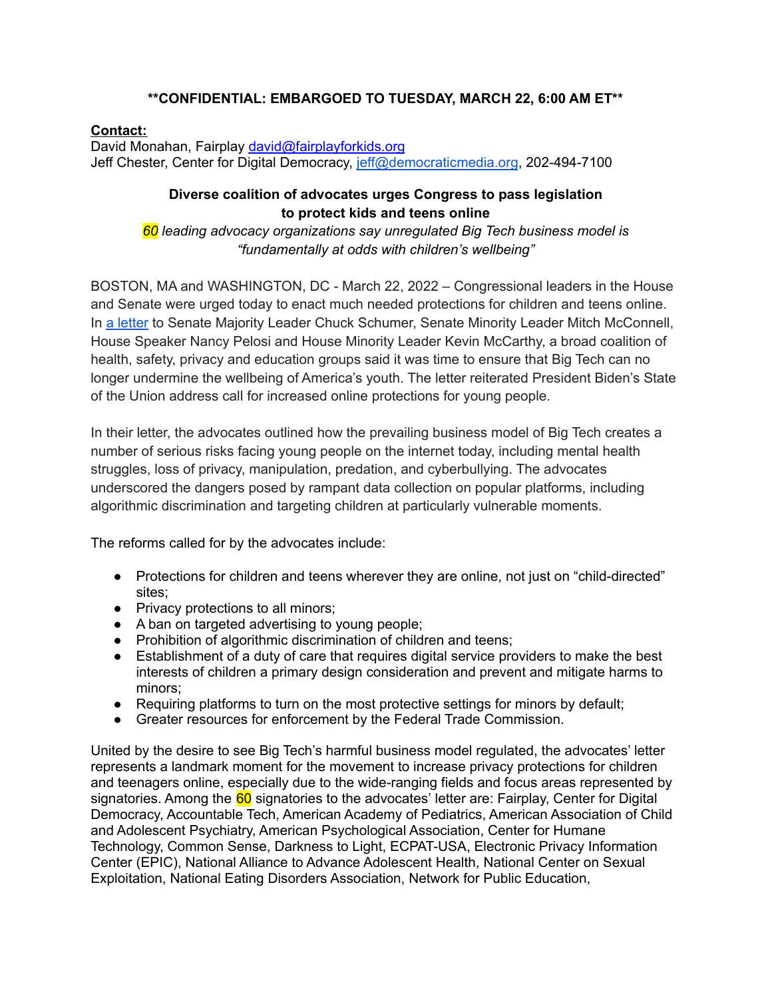## **\*\*CONFIDENTIAL: EMBARGOED TO TUESDAY, MARCH 22, 6:00 AM ET\*\***

## **Contact:**

David Monahan, Fairplay [david@fairplayforkids.org](mailto:david@fairplayforkids.org) Jeff Chester, Center for Digital Democracy, [jeff@democraticmedia.org](mailto:jeff@democraticmedia.org), 202-494-7100

## **Diverse coalition of advocates urges Congress to pass legislation to protect kids and teens online**

*60 leading advocacy organizations say unregulated Big Tech business model is "fundamentally at odds with children's wellbeing"*

BOSTON, MA and WASHINGTON, DC - March 22, 2022 – Congressional leaders in the House and Senate were urged today to enact much needed protections for children and teens online. In a [letter](https://fairplayforkids.org/wp-content/uploads/2022/03/CongressLetter.pdf) to Senate Majority Leader Chuck Schumer, Senate Minority Leader Mitch McConnell, House Speaker Nancy Pelosi and House Minority Leader Kevin McCarthy, a broad coalition of health, safety, privacy and education groups said it was time to ensure that Big Tech can no longer undermine the wellbeing of America's youth. The letter reiterated President Biden's State of the Union address call for increased online protections for young people.

In their letter, the advocates outlined how the prevailing business model of Big Tech creates a number of serious risks facing young people on the internet today, including mental health struggles, loss of privacy, manipulation, predation, and cyberbullying. The advocates underscored the dangers posed by rampant data collection on popular platforms, including algorithmic discrimination and targeting children at particularly vulnerable moments.

The reforms called for by the advocates include:

- Protections for children and teens wherever they are online, not just on "child-directed" sites;
- Privacy protections to all minors;
- A ban on targeted advertising to young people;
- Prohibition of algorithmic discrimination of children and teens;
- Establishment of a duty of care that requires digital service providers to make the best interests of children a primary design consideration and prevent and mitigate harms to minors;
- Requiring platforms to turn on the most protective settings for minors by default;
- Greater resources for enforcement by the Federal Trade Commission.

United by the desire to see Big Tech's harmful business model regulated, the advocates' letter represents a landmark moment for the movement to increase privacy protections for children and teenagers online, especially due to the wide-ranging fields and focus areas represented by signatories. Among the  $60$  signatories to the advocates' letter are: Fairplay, Center for Digital Democracy, Accountable Tech, American Academy of Pediatrics, American Association of Child and Adolescent Psychiatry, American Psychological Association, Center for Humane Technology, Common Sense, Darkness to Light, ECPAT-USA, Electronic Privacy Information Center (EPIC), National Alliance to Advance Adolescent Health, National Center on Sexual Exploitation, National Eating Disorders Association, Network for Public Education,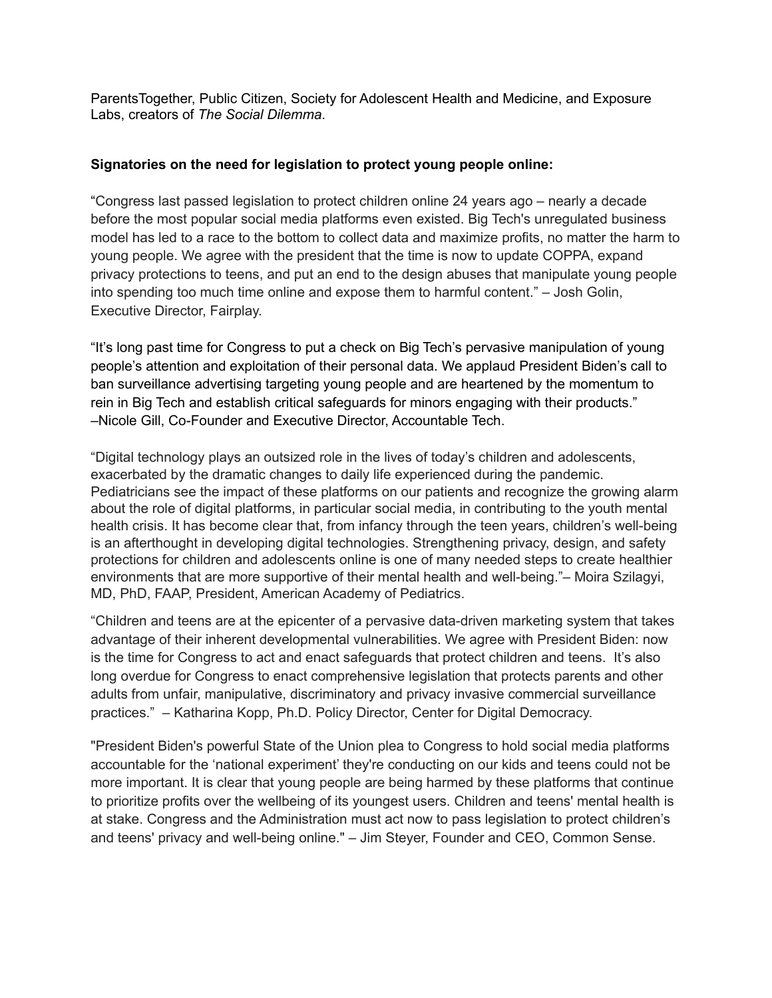ParentsTogether, Public Citizen, Society for Adolescent Health and Medicine, and Exposure Labs, creators of *The Social Dilemma*.

## **Signatories on the need for legislation to protect young people online:**

"Congress last passed legislation to protect children online 24 years ago – nearly a decade before the most popular social media platforms even existed. Big Tech's unregulated business model has led to a race to the bottom to collect data and maximize profits, no matter the harm to young people. We agree with the president that the time is now to update COPPA, expand privacy protections to teens, and put an end to the design abuses that manipulate young people into spending too much time online and expose them to harmful content." – Josh Golin, Executive Director, Fairplay.

"It's long past time for Congress to put a check on Big Tech's pervasive manipulation of young people's attention and exploitation of their personal data. We applaud President Biden's call to ban surveillance advertising targeting young people and are heartened by the momentum to rein in Big Tech and establish critical safeguards for minors engaging with their products." –Nicole Gill, Co-Founder and Executive Director, Accountable Tech.

"Digital technology plays an outsized role in the lives of today's children and adolescents, exacerbated by the dramatic changes to daily life experienced during the pandemic. Pediatricians see the impact of these platforms on our patients and recognize the growing alarm about the role of digital platforms, in particular social media, in contributing to the youth mental health crisis. It has become clear that, from infancy through the teen years, children's well-being is an afterthought in developing digital technologies. Strengthening privacy, design, and safety protections for children and adolescents online is one of many needed steps to create healthier environments that are more supportive of their mental health and well-being."– Moira Szilagyi, MD, PhD, FAAP, President, American Academy of Pediatrics.

"Children and teens are at the epicenter of a pervasive data-driven marketing system that takes advantage of their inherent developmental vulnerabilities. We agree with President Biden: now is the time for Congress to act and enact safeguards that protect children and teens. It's also long overdue for Congress to enact comprehensive legislation that protects parents and other adults from unfair, manipulative, discriminatory and privacy invasive commercial surveillance practices." – Katharina Kopp, Ph.D. Policy Director, Center for Digital Democracy.

"President Biden's powerful State of the Union plea to Congress to hold social media platforms accountable for the 'national experiment' they're conducting on our kids and teens could not be more important. It is clear that young people are being harmed by these platforms that continue to prioritize profits over the wellbeing of its youngest users. Children and teens' mental health is at stake. Congress and the Administration must act now to pass legislation to protect children's and teens' privacy and well-being online." – Jim Steyer, Founder and CEO, Common Sense.